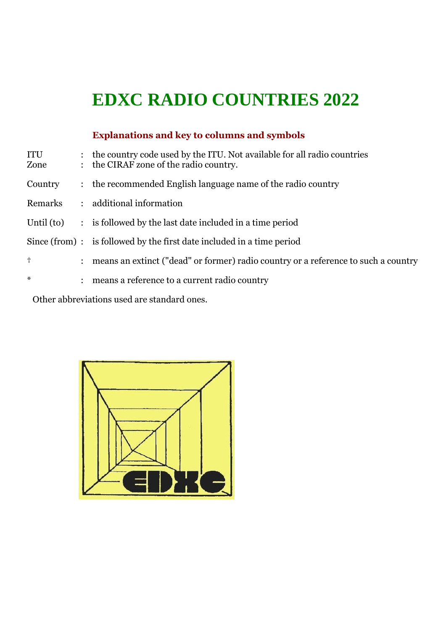# **EDXC RADIO COUNTRIES 2022**

## **Explanations and key to columns and symbols**

| ITU<br>Zone |                      | : the country code used by the ITU. Not available for all radio countries<br>: the CIRAF zone of the radio country. |
|-------------|----------------------|---------------------------------------------------------------------------------------------------------------------|
| Country     |                      | : the recommended English language name of the radio country                                                        |
| Remarks     |                      | : additional information                                                                                            |
| Until (to)  |                      | : is followed by the last date included in a time period                                                            |
|             |                      | $Since (from) : is followed by the first date included in a time period$                                            |
| $\ddagger$  | $\ddot{\phantom{a}}$ | means an extinct ("dead" or former) radio country or a reference to such a country                                  |
| $\ast$      | $\ddot{\cdot}$       | means a reference to a current radio country                                                                        |
|             |                      |                                                                                                                     |

Other abbreviations used are standard ones.

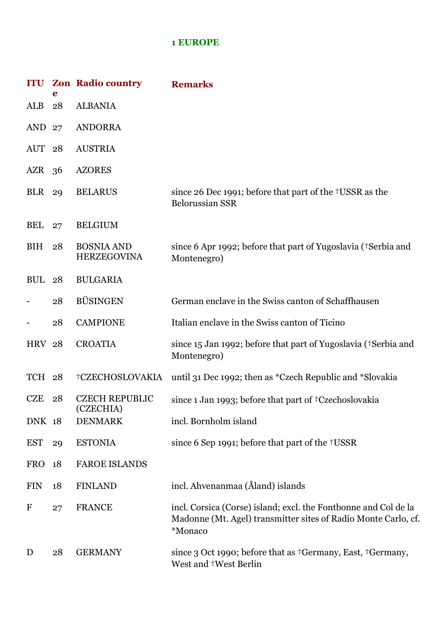#### **1 EUROPE**

|                   | e  | <b>ITU Zon Radio country</b>            | <b>Remarks</b>                                                                                                                               |
|-------------------|----|-----------------------------------------|----------------------------------------------------------------------------------------------------------------------------------------------|
| ALB               | 28 | <b>ALBANIA</b>                          |                                                                                                                                              |
| AND 27            |    | <b>ANDORRA</b>                          |                                                                                                                                              |
| AUT <sub>28</sub> |    | <b>AUSTRIA</b>                          |                                                                                                                                              |
| $AZR$ 36          |    | <b>AZORES</b>                           |                                                                                                                                              |
| <b>BLR</b> 29     |    | <b>BELARUS</b>                          | since 26 Dec 1991; before that part of the †USSR as the<br><b>Belorussian SSR</b>                                                            |
| BEL               | 27 | <b>BELGIUM</b>                          |                                                                                                                                              |
| BIH               | 28 | <b>BOSNIA AND</b><br><b>HERZEGOVINA</b> | since 6 Apr 1992; before that part of Yugoslavia (†Serbia and<br>Montenegro)                                                                 |
| <b>BUL</b>        | 28 | <b>BULGARIA</b>                         |                                                                                                                                              |
|                   | 28 | <b>BÜSINGEN</b>                         | German enclave in the Swiss canton of Schaffhausen                                                                                           |
|                   | 28 | <b>CAMPIONE</b>                         | Italian enclave in the Swiss canton of Ticino                                                                                                |
| <b>HRV 28</b>     |    | <b>CROATIA</b>                          | since 15 Jan 1992; before that part of Yugoslavia (†Serbia and<br>Montenegro)                                                                |
| TCH 28            |    | †CZECHOSLOVAKIA                         | until 31 Dec 1992; then as *Czech Republic and *Slovakia                                                                                     |
| <b>CZE</b>        | 28 | <b>CZECH REPUBLIC</b><br>(CZECHIA)      | since 1 Jan 1993; before that part of †Czechoslovakia                                                                                        |
| <b>DNK 18</b>     |    | <b>DENMARK</b>                          | incl. Bornholm island                                                                                                                        |
| <b>EST</b>        | 29 | <b>ESTONIA</b>                          | since 6 Sep 1991; before that part of the †USSR                                                                                              |
| <b>FRO</b>        | 18 | <b>FAROE ISLANDS</b>                    |                                                                                                                                              |
| <b>FIN</b>        | 18 | <b>FINLAND</b>                          | incl. Ahvenanmaa (Åland) islands                                                                                                             |
| F                 | 27 | <b>FRANCE</b>                           | incl. Corsica (Corse) island; excl. the Fontbonne and Col de la<br>Madonne (Mt. Agel) transmitter sites of Radio Monte Carlo, cf.<br>*Monaco |
| D                 | 28 | <b>GERMANY</b>                          | since 3 Oct 1990; before that as <sup>†</sup> Germany, East, †Germany,<br>West and †West Berlin                                              |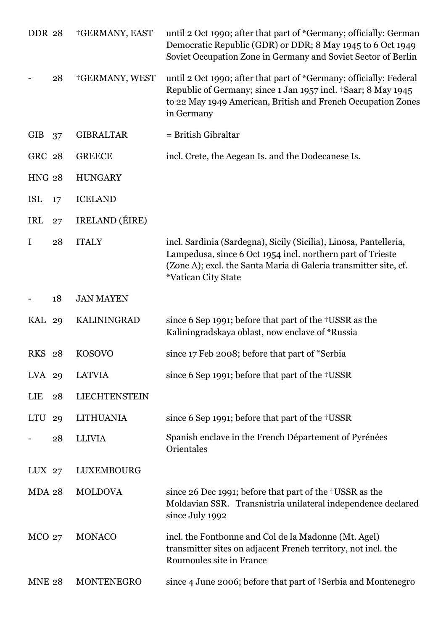| <b>DDR 28</b> |    | †GERMANY, EAST     | until 2 Oct 1990; after that part of *Germany; officially: German<br>Democratic Republic (GDR) or DDR; 8 May 1945 to 6 Oct 1949<br>Soviet Occupation Zone in Germany and Soviet Sector of Berlin                                         |
|---------------|----|--------------------|------------------------------------------------------------------------------------------------------------------------------------------------------------------------------------------------------------------------------------------|
|               | 28 | †GERMANY, WEST     | until 2 Oct 1990; after that part of *Germany; officially: Federal<br>Republic of Germany; since 1 Jan 1957 incl. †Saar; 8 May 1945<br>to 22 May 1949 American, British and French Occupation Zones<br>in Germany                        |
| <b>GIB</b>    | 37 | <b>GIBRALTAR</b>   | = British Gibraltar                                                                                                                                                                                                                      |
| GRC 28        |    | <b>GREECE</b>      | incl. Crete, the Aegean Is. and the Dodecanese Is.                                                                                                                                                                                       |
| <b>HNG 28</b> |    | <b>HUNGARY</b>     |                                                                                                                                                                                                                                          |
| <b>ISL</b>    | 17 | <b>ICELAND</b>     |                                                                                                                                                                                                                                          |
| IRL           | 27 | IRELAND (ÉIRE)     |                                                                                                                                                                                                                                          |
| $\mathbf I$   | 28 | <b>ITALY</b>       | incl. Sardinia (Sardegna), Sicily (Sicilia), Linosa, Pantelleria,<br>Lampedusa, since 6 Oct 1954 incl. northern part of Trieste<br>(Zone A); excl. the Santa Maria di Galeria transmitter site, cf.<br><i><b>*Vatican City State</b></i> |
|               | 18 | <b>JAN MAYEN</b>   |                                                                                                                                                                                                                                          |
| <b>KAL 29</b> |    | <b>KALININGRAD</b> | since 6 Sep 1991; before that part of the †USSR as the<br>Kaliningradskaya oblast, now enclave of *Russia                                                                                                                                |
| <b>RKS</b> 28 |    | <b>KOSOVO</b>      | since 17 Feb 2008; before that part of *Serbia                                                                                                                                                                                           |
| LVA 29        |    | <b>LATVIA</b>      | since 6 Sep 1991; before that part of the †USSR                                                                                                                                                                                          |
| <b>LIE</b>    | 28 | LIECHTENSTEIN      |                                                                                                                                                                                                                                          |
| LTU           | 29 | <b>LITHUANIA</b>   | since 6 Sep 1991; before that part of the †USSR                                                                                                                                                                                          |
|               | 28 | <b>LLIVIA</b>      | Spanish enclave in the French Département of Pyrénées<br>Orientales                                                                                                                                                                      |
| $LUX$ 27      |    | LUXEMBOURG         |                                                                                                                                                                                                                                          |
| <b>MDA 28</b> |    | <b>MOLDOVA</b>     | since 26 Dec 1991; before that part of the †USSR as the<br>Moldavian SSR. Transnistria unilateral independence declared<br>since July 1992                                                                                               |
| $MCO$ 27      |    | <b>MONACO</b>      | incl. the Fontbonne and Col de la Madonne (Mt. Agel)<br>transmitter sites on adjacent French territory, not incl. the<br>Roumoules site in France                                                                                        |
| <b>MNE 28</b> |    | MONTENEGRO         | since 4 June 2006; before that part of †Serbia and Montenegro                                                                                                                                                                            |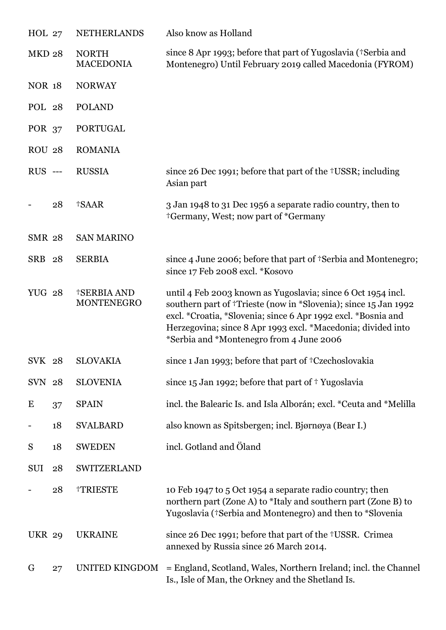| HOL 27         |    | <b>NETHERLANDS</b>               | Also know as Holland                                                                                                                                                                                                                                                                                         |
|----------------|----|----------------------------------|--------------------------------------------------------------------------------------------------------------------------------------------------------------------------------------------------------------------------------------------------------------------------------------------------------------|
| <b>MKD 28</b>  |    | <b>NORTH</b><br><b>MACEDONIA</b> | since 8 Apr 1993; before that part of Yugoslavia (+Serbia and<br>Montenegro) Until February 2019 called Macedonia (FYROM)                                                                                                                                                                                    |
| <b>NOR 18</b>  |    | <b>NORWAY</b>                    |                                                                                                                                                                                                                                                                                                              |
| POL 28         |    | <b>POLAND</b>                    |                                                                                                                                                                                                                                                                                                              |
| <b>POR 37</b>  |    | <b>PORTUGAL</b>                  |                                                                                                                                                                                                                                                                                                              |
| <b>ROU 28</b>  |    | <b>ROMANIA</b>                   |                                                                                                                                                                                                                                                                                                              |
| <b>RUS</b> --- |    | <b>RUSSIA</b>                    | since 26 Dec 1991; before that part of the †USSR; including<br>Asian part                                                                                                                                                                                                                                    |
|                | 28 | †SAAR                            | 3 Jan 1948 to 31 Dec 1956 a separate radio country, then to<br><sup>†</sup> Germany, West; now part of *Germany                                                                                                                                                                                              |
| <b>SMR 28</b>  |    | <b>SAN MARINO</b>                |                                                                                                                                                                                                                                                                                                              |
| SRB 28         |    | <b>SERBIA</b>                    | since 4 June 2006; before that part of †Serbia and Montenegro;<br>since 17 Feb 2008 excl. *Kosovo                                                                                                                                                                                                            |
| <b>YUG 28</b>  |    | <b>†SERBIA AND</b><br>MONTENEGRO | until 4 Feb 2003 known as Yugoslavia; since 6 Oct 1954 incl.<br>southern part of †Trieste (now in *Slovenia); since 15 Jan 1992<br>excl. *Croatia, *Slovenia; since 6 Apr 1992 excl. *Bosnia and<br>Herzegovina; since 8 Apr 1993 excl. *Macedonia; divided into<br>*Serbia and *Montenegro from 4 June 2006 |
| SVK 28         |    | <b>SLOVAKIA</b>                  | since 1 Jan 1993; before that part of †Czechoslovakia                                                                                                                                                                                                                                                        |
| SVN 28         |    | <b>SLOVENIA</b>                  | since $15$ Jan 1992; before that part of $\dagger$ Yugoslavia                                                                                                                                                                                                                                                |
| E              | 37 | <b>SPAIN</b>                     | incl. the Balearic Is. and Isla Alborán; excl. *Ceuta and *Melilla                                                                                                                                                                                                                                           |
|                | 18 | <b>SVALBARD</b>                  | also known as Spitsbergen; incl. Bjørnøya (Bear I.)                                                                                                                                                                                                                                                          |
| S              | 18 | <b>SWEDEN</b>                    | incl. Gotland and Öland                                                                                                                                                                                                                                                                                      |
| SUI            | 28 | SWITZERLAND                      |                                                                                                                                                                                                                                                                                                              |
|                | 28 | †TRIESTE                         | 10 Feb 1947 to 5 Oct 1954 a separate radio country; then<br>northern part (Zone A) to *Italy and southern part (Zone B) to<br>Yugoslavia (†Serbia and Montenegro) and then to *Slovenia                                                                                                                      |
| <b>UKR 29</b>  |    | <b>UKRAINE</b>                   | since 26 Dec 1991; before that part of the †USSR. Crimea<br>annexed by Russia since 26 March 2014.                                                                                                                                                                                                           |
| G              | 27 | UNITED KINGDOM                   | = England, Scotland, Wales, Northern Ireland; incl. the Channel<br>Is., Isle of Man, the Orkney and the Shetland Is.                                                                                                                                                                                         |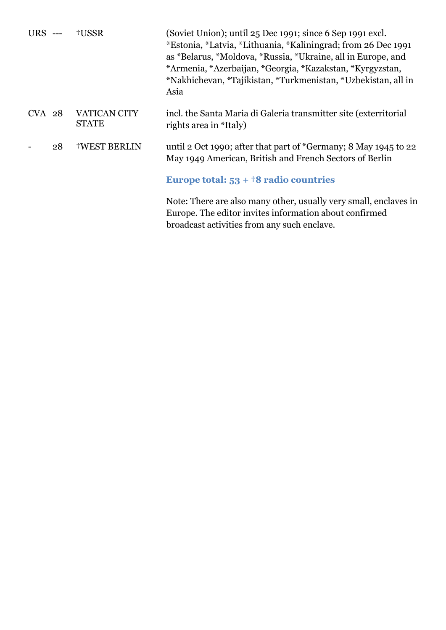| $URS$ --- |    | †USSR                               | (Soviet Union); until 25 Dec 1991; since 6 Sep 1991 excl.<br>*Estonia, *Latvia, *Lithuania, *Kaliningrad; from 26 Dec 1991<br>as *Belarus, *Moldova, *Russia, *Ukraine, all in Europe, and<br>*Armenia, *Azerbaijan, *Georgia, *Kazakstan, *Kyrgyzstan,<br>*Nakhichevan, *Tajikistan, *Turkmenistan, *Uzbekistan, all in<br>Asia |
|-----------|----|-------------------------------------|----------------------------------------------------------------------------------------------------------------------------------------------------------------------------------------------------------------------------------------------------------------------------------------------------------------------------------|
| $CVA$ 28  |    | <b>VATICAN CITY</b><br><b>STATE</b> | incl. the Santa Maria di Galeria transmitter site (exterritorial<br>rights area in *Italy)                                                                                                                                                                                                                                       |
|           | 28 | <b>†WEST BERLIN</b>                 | until 2 Oct 1990; after that part of *Germany; 8 May 1945 to 22<br>May 1949 American, British and French Sectors of Berlin                                                                                                                                                                                                       |
|           |    |                                     | Europe total: $53 + 18$ radio countries                                                                                                                                                                                                                                                                                          |
|           |    |                                     | Note: There are also many other, usually very small, enclaves in<br>Europe. The editor invites information about confirmed<br>broadcast activities from any such enclave.                                                                                                                                                        |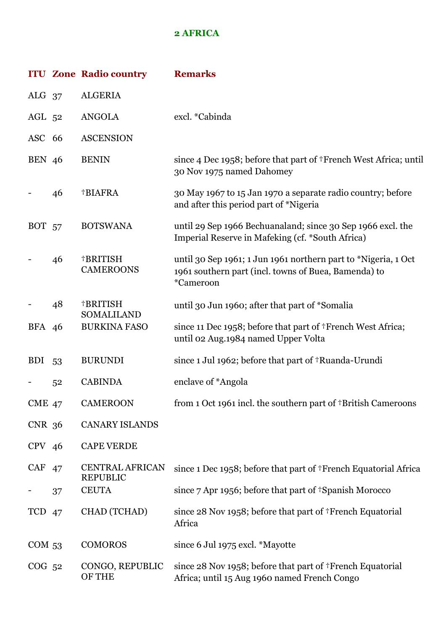#### **2 AFRICA**

|                   |    | <b>ITU Zone Radio country</b>             | <b>Remarks</b>                                                                                                                      |
|-------------------|----|-------------------------------------------|-------------------------------------------------------------------------------------------------------------------------------------|
| ALG $37$          |    | <b>ALGERIA</b>                            |                                                                                                                                     |
| $AGL$ 52          |    | <b>ANGOLA</b>                             | excl. *Cabinda                                                                                                                      |
| ASC 66            |    | <b>ASCENSION</b>                          |                                                                                                                                     |
| <b>BEN</b> 46     |    | <b>BENIN</b>                              | since 4 Dec 1958; before that part of †French West Africa; until<br>30 Nov 1975 named Dahomey                                       |
|                   | 46 | †BIAFRA                                   | 30 May 1967 to 15 Jan 1970 a separate radio country; before<br>and after this period part of *Nigeria                               |
| <b>BOT</b> 57     |    | <b>BOTSWANA</b>                           | until 29 Sep 1966 Bechuanaland; since 30 Sep 1966 excl. the<br>Imperial Reserve in Mafeking (cf. *South Africa)                     |
|                   | 46 | †BRITISH<br><b>CAMEROONS</b>              | until 30 Sep 1961; 1 Jun 1961 northern part to *Nigeria, 1 Oct<br>1961 southern part (incl. towns of Buea, Bamenda) to<br>*Cameroon |
|                   | 48 | †BRITISH<br>SOMALILAND                    | until 30 Jun 1960; after that part of *Somalia                                                                                      |
| BFA 46            |    | <b>BURKINA FASO</b>                       | since 11 Dec 1958; before that part of †French West Africa;<br>until 02 Aug.1984 named Upper Volta                                  |
| <b>BDI</b>        | 53 | <b>BURUNDI</b>                            | since 1 Jul 1962; before that part of †Ruanda-Urundi                                                                                |
|                   | 52 | <b>CABINDA</b>                            | enclave of *Angola                                                                                                                  |
| <b>CME 47</b>     |    | <b>CAMEROON</b>                           | from 1 Oct 1961 incl. the southern part of †British Cameroons                                                                       |
| CNR 36            |    | <b>CANARY ISLANDS</b>                     |                                                                                                                                     |
| $CPV$ 46          |    | <b>CAPE VERDE</b>                         |                                                                                                                                     |
| CAF 47            |    | <b>CENTRAL AFRICAN</b><br><b>REPUBLIC</b> | since 1 Dec 1958; before that part of †French Equatorial Africa                                                                     |
|                   | 37 | <b>CEUTA</b>                              | since 7 Apr 1956; before that part of †Spanish Morocco                                                                              |
| TCD 47            |    | CHAD (TCHAD)                              | since 28 Nov 1958; before that part of †French Equatorial<br>Africa                                                                 |
| COM <sub>53</sub> |    | <b>COMOROS</b>                            | since 6 Jul 1975 excl. *Mayotte                                                                                                     |
| $COG$ 52          |    | CONGO, REPUBLIC<br><b>OF THE</b>          | since 28 Nov 1958; before that part of <sup>†</sup> French Equatorial<br>Africa; until 15 Aug 1960 named French Congo               |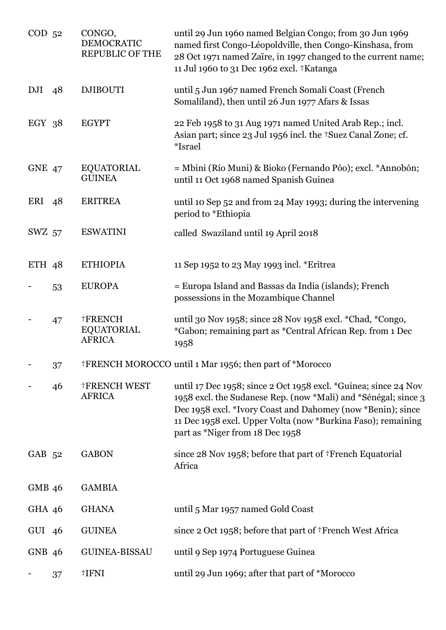| $COD$ 52      |    | CONGO,<br><b>DEMOCRATIC</b><br><b>REPUBLIC OF THE</b> | until 29 Jun 1960 named Belgian Congo; from 30 Jun 1969<br>named first Congo-Léopoldville, then Congo-Kinshasa, from<br>28 Oct 1971 named Zaïre, in 1997 changed to the current name;<br>11 Jul 1960 to 31 Dec 1962 excl. †Katanga                                                                  |
|---------------|----|-------------------------------------------------------|-----------------------------------------------------------------------------------------------------------------------------------------------------------------------------------------------------------------------------------------------------------------------------------------------------|
| DJI           | 48 | <b>DJIBOUTI</b>                                       | until 5 Jun 1967 named French Somali Coast (French<br>Somaliland), then until 26 Jun 1977 Afars & Issas                                                                                                                                                                                             |
| $EGY$ 38      |    | <b>EGYPT</b>                                          | 22 Feb 1958 to 31 Aug 1971 named United Arab Rep.; incl.<br>Asian part; since 23 Jul 1956 incl. the +Suez Canal Zone; cf.<br>*Israel                                                                                                                                                                |
| <b>GNE 47</b> |    | <b>EQUATORIAL</b><br><b>GUINEA</b>                    | = Mbini (Río Muni) & Bioko (Fernando Póo); excl. *Annobón;<br>until 11 Oct 1968 named Spanish Guinea                                                                                                                                                                                                |
| ERI           | 48 | <b>ERITREA</b>                                        | until 10 Sep 52 and from 24 May 1993; during the intervening<br>period to *Ethiopia                                                                                                                                                                                                                 |
| SWZ 57        |    | <b>ESWATINI</b>                                       | called Swaziland until 19 April 2018                                                                                                                                                                                                                                                                |
| ETH $48$      |    | <b>ETHIOPIA</b>                                       | 11 Sep 1952 to 23 May 1993 incl. *Eritrea                                                                                                                                                                                                                                                           |
|               | 53 | <b>EUROPA</b>                                         | = Europa Island and Bassas da India (islands); French<br>possessions in the Mozambique Channel                                                                                                                                                                                                      |
|               | 47 | <b>†FRENCH</b><br><b>EQUATORIAL</b><br><b>AFRICA</b>  | until 30 Nov 1958; since 28 Nov 1958 excl. *Chad, *Congo,<br>*Gabon; remaining part as *Central African Rep. from 1 Dec<br>1958                                                                                                                                                                     |
|               | 37 |                                                       | <sup>†</sup> FRENCH MOROCCO until 1 Mar 1956; then part of *Morocco                                                                                                                                                                                                                                 |
|               | 46 | <b>†FRENCH WEST</b><br><b>AFRICA</b>                  | until 17 Dec 1958; since 2 Oct 1958 excl. *Guinea; since 24 Nov<br>1958 excl. the Sudanese Rep. (now *Mali) and *Sénégal; since 3<br>Dec 1958 excl. *Ivory Coast and Dahomey (now *Benin); since<br>11 Dec 1958 excl. Upper Volta (now *Burkina Faso); remaining<br>part as *Niger from 18 Dec 1958 |
| GAB 52        |    | <b>GABON</b>                                          | since 28 Nov 1958; before that part of †French Equatorial<br>Africa                                                                                                                                                                                                                                 |
| <b>GMB 46</b> |    | <b>GAMBIA</b>                                         |                                                                                                                                                                                                                                                                                                     |
| GHA 46        |    | <b>GHANA</b>                                          | until 5 Mar 1957 named Gold Coast                                                                                                                                                                                                                                                                   |
| GUI 46        |    | <b>GUINEA</b>                                         | since 2 Oct 1958; before that part of †French West Africa                                                                                                                                                                                                                                           |
| GNB 46        |    | <b>GUINEA-BISSAU</b>                                  | until 9 Sep 1974 Portuguese Guinea                                                                                                                                                                                                                                                                  |
|               | 37 | †IFNI                                                 | until 29 Jun 1969; after that part of *Morocco                                                                                                                                                                                                                                                      |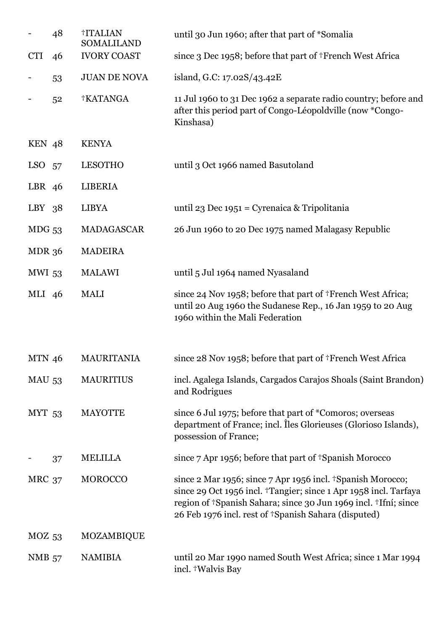|               | 48 | †ITALIAN<br><b>SOMALILAND</b> | until 30 Jun 1960; after that part of *Somalia                                                                                                                                                                                                            |
|---------------|----|-------------------------------|-----------------------------------------------------------------------------------------------------------------------------------------------------------------------------------------------------------------------------------------------------------|
| <b>CTI</b>    | 46 | <b>IVORY COAST</b>            | since 3 Dec 1958; before that part of †French West Africa                                                                                                                                                                                                 |
|               | 53 | <b>JUAN DE NOVA</b>           | island, G.C: 17.02S/43.42E                                                                                                                                                                                                                                |
|               | 52 | <b>†KATANGA</b>               | 11 Jul 1960 to 31 Dec 1962 a separate radio country; before and<br>after this period part of Congo-Léopoldville (now *Congo-<br>Kinshasa)                                                                                                                 |
| KEN 48        |    | <b>KENYA</b>                  |                                                                                                                                                                                                                                                           |
| $LSO$ 57      |    | <b>LESOTHO</b>                | until 3 Oct 1966 named Basutoland                                                                                                                                                                                                                         |
| LBR 46        |    | <b>LIBERIA</b>                |                                                                                                                                                                                                                                                           |
| $LBY$ 38      |    | <b>LIBYA</b>                  | until 23 Dec 1951 = Cyrenaica & Tripolitania                                                                                                                                                                                                              |
| $MDG$ 53      |    | <b>MADAGASCAR</b>             | 26 Jun 1960 to 20 Dec 1975 named Malagasy Republic                                                                                                                                                                                                        |
| <b>MDR 36</b> |    | <b>MADEIRA</b>                |                                                                                                                                                                                                                                                           |
| <b>MWI 53</b> |    | <b>MALAWI</b>                 | until 5 Jul 1964 named Nyasaland                                                                                                                                                                                                                          |
| MLI 46        |    | <b>MALI</b>                   | since 24 Nov 1958; before that part of †French West Africa;<br>until 20 Aug 1960 the Sudanese Rep., 16 Jan 1959 to 20 Aug<br>1960 within the Mali Federation                                                                                              |
| <b>MTN 46</b> |    | <b>MAURITANIA</b>             | since 28 Nov 1958; before that part of †French West Africa                                                                                                                                                                                                |
| <b>MAU 53</b> |    | <b>MAURITIUS</b>              | incl. Agalega Islands, Cargados Carajos Shoals (Saint Brandon)<br>and Rodrigues                                                                                                                                                                           |
| <b>MYT 53</b> |    | <b>MAYOTTE</b>                | since 6 Jul 1975; before that part of *Comoros; overseas<br>department of France; incl. Iles Glorieuses (Glorioso Islands),<br>possession of France;                                                                                                      |
|               | 37 | MELILLA                       | since 7 Apr 1956; before that part of <sup>†</sup> Spanish Morocco                                                                                                                                                                                        |
| <b>MRC 37</b> |    | <b>MOROCCO</b>                | since 2 Mar 1956; since 7 Apr 1956 incl. †Spanish Morocco;<br>since 29 Oct 1956 incl. †Tangier; since 1 Apr 1958 incl. Tarfaya<br>region of †Spanish Sahara; since 30 Jun 1969 incl. †Ifní; since<br>26 Feb 1976 incl. rest of †Spanish Sahara (disputed) |
| $MOZ$ 53      |    | MOZAMBIQUE                    |                                                                                                                                                                                                                                                           |
| <b>NMB</b> 57 |    | <b>NAMIBIA</b>                | until 20 Mar 1990 named South West Africa; since 1 Mar 1994<br>incl. †Walvis Bay                                                                                                                                                                          |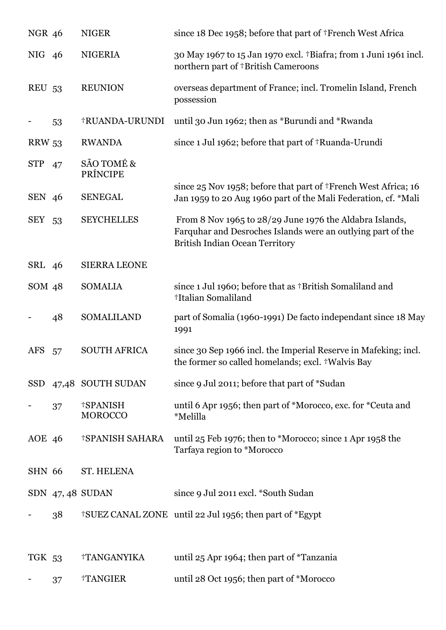| <b>NGR 46</b> |    | <b>NIGER</b>                      | since 18 Dec 1958; before that part of †French West Africa                                                                                                      |
|---------------|----|-----------------------------------|-----------------------------------------------------------------------------------------------------------------------------------------------------------------|
| NIG 46        |    | <b>NIGERIA</b>                    | 30 May 1967 to 15 Jan 1970 excl. †Biafra; from 1 Juni 1961 incl.<br>northern part of †British Cameroons                                                         |
| <b>REU 53</b> |    | <b>REUNION</b>                    | overseas department of France; incl. Tromelin Island, French<br>possession                                                                                      |
|               | 53 | †RUANDA-URUNDI                    | until 30 Jun 1962; then as *Burundi and *Rwanda                                                                                                                 |
| <b>RRW 53</b> |    | <b>RWANDA</b>                     | since 1 Jul 1962; before that part of †Ruanda-Urundi                                                                                                            |
| STP 47        |    | SÃO TOMÉ &<br>PRÍNCIPE            |                                                                                                                                                                 |
| SEN 46        |    | <b>SENEGAL</b>                    | since 25 Nov 1958; before that part of †French West Africa; 16<br>Jan 1959 to 20 Aug 1960 part of the Mali Federation, cf. *Mali                                |
| SEY 53        |    | <b>SEYCHELLES</b>                 | From 8 Nov 1965 to 28/29 June 1976 the Aldabra Islands,<br>Farquhar and Desroches Islands were an outlying part of the<br><b>British Indian Ocean Territory</b> |
| SRL 46        |    | <b>SIERRA LEONE</b>               |                                                                                                                                                                 |
| SOM 48        |    | <b>SOMALIA</b>                    | since 1 Jul 1960; before that as †British Somaliland and<br>†Italian Somaliland                                                                                 |
|               | 48 | SOMALILAND                        | part of Somalia (1960-1991) De facto independant since 18 May<br>1991                                                                                           |
| AFS           | 57 | <b>SOUTH AFRICA</b>               | since 30 Sep 1966 incl. the Imperial Reserve in Mafeking; incl.<br>the former so called homelands; excl. †Walvis Bay                                            |
| <b>SSD</b>    |    | 47,48 SOUTH SUDAN                 | since 9 Jul 2011; before that part of *Sudan                                                                                                                    |
|               | 37 | <b>†SPANISH</b><br><b>MOROCCO</b> | until 6 Apr 1956; then part of *Morocco, exc. for *Ceuta and<br>*Melilla                                                                                        |
| <b>AOE</b> 46 |    | <b>†SPANISH SAHARA</b>            | until 25 Feb 1976; then to *Morocco; since 1 Apr 1958 the<br>Tarfaya region to *Morocco                                                                         |
| <b>SHN 66</b> |    | <b>ST. HELENA</b>                 |                                                                                                                                                                 |
|               |    | SDN $47,48$ SUDAN                 | since 9 Jul 2011 excl. *South Sudan                                                                                                                             |
|               | 38 |                                   | <sup>†</sup> SUEZ CANAL ZONE until 22 Jul 1956; then part of *Egypt                                                                                             |
| TGK 53        |    | †TANGANYIKA                       | until 25 Apr 1964; then part of *Tanzania                                                                                                                       |
|               | 37 | †TANGIER                          | until 28 Oct 1956; then part of *Morocco                                                                                                                        |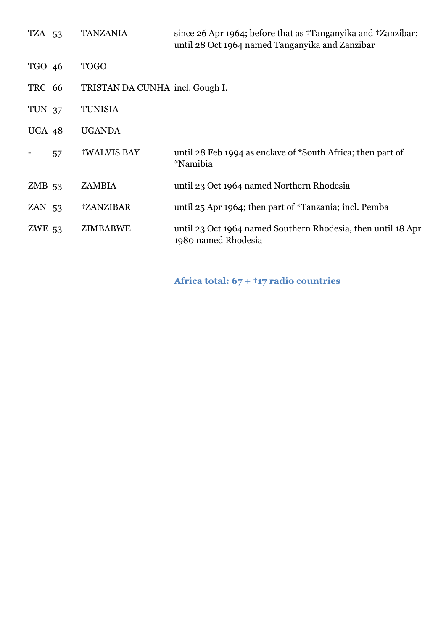| TZA 53   |    | <b>TANZANIA</b>                 | since 26 Apr 1964; before that as <sup>†</sup> Tanganyika and †Zanzibar;<br>until 28 Oct 1964 named Tanganyika and Zanzibar |
|----------|----|---------------------------------|-----------------------------------------------------------------------------------------------------------------------------|
| TGO 46   |    | <b>TOGO</b>                     |                                                                                                                             |
| TRC 66   |    | TRISTAN DA CUNHA incl. Gough I. |                                                                                                                             |
| TUN 37   |    | <b>TUNISIA</b>                  |                                                                                                                             |
| UGA 48   |    | <b>UGANDA</b>                   |                                                                                                                             |
|          | 57 | <b>†WALVIS BAY</b>              | until 28 Feb 1994 as enclave of *South Africa; then part of<br>*Namibia                                                     |
| $ZMB$ 53 |    | <b>ZAMBIA</b>                   | until 23 Oct 1964 named Northern Rhodesia                                                                                   |
| $ZAN$ 53 |    | †ZANZIBAR                       | until 25 Apr 1964; then part of *Tanzania; incl. Pemba                                                                      |
| ZWE 53   |    | ZIMBABWE                        | until 23 Oct 1964 named Southern Rhodesia, then until 18 Apr<br>1980 named Rhodesia                                         |

**Africa total: 67 + †17 radio countries**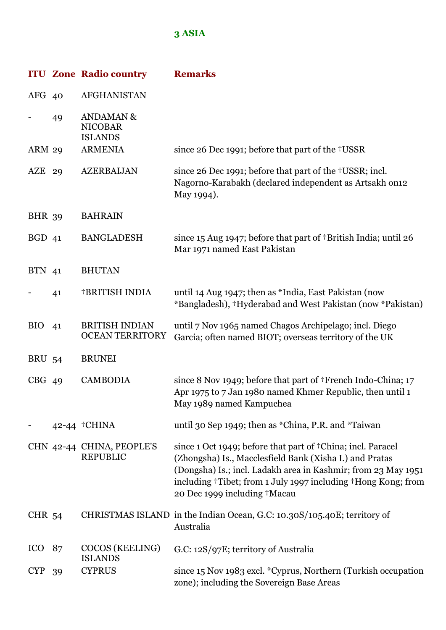## **3 ASIA**

|                   |    | <b>ITU Zone Radio country</b>                            | <b>Remarks</b>                                                                                                                                                                                                                                                                           |
|-------------------|----|----------------------------------------------------------|------------------------------------------------------------------------------------------------------------------------------------------------------------------------------------------------------------------------------------------------------------------------------------------|
| AFG 40            |    | AFGHANISTAN                                              |                                                                                                                                                                                                                                                                                          |
|                   | 49 | <b>ANDAMAN &amp;</b><br><b>NICOBAR</b><br><b>ISLANDS</b> |                                                                                                                                                                                                                                                                                          |
| <b>ARM 29</b>     |    | <b>ARMENIA</b>                                           | since 26 Dec 1991; before that part of the †USSR                                                                                                                                                                                                                                         |
| $AZE$ 29          |    | <b>AZERBAIJAN</b>                                        | since 26 Dec 1991; before that part of the †USSR; incl.<br>Nagorno-Karabakh (declared independent as Artsakh on12<br>May 1994).                                                                                                                                                          |
| <b>BHR</b> 39     |    | <b>BAHRAIN</b>                                           |                                                                                                                                                                                                                                                                                          |
| BGD <sub>41</sub> |    | <b>BANGLADESH</b>                                        | since 15 Aug 1947; before that part of †British India; until 26<br>Mar 1971 named East Pakistan                                                                                                                                                                                          |
| <b>BTN</b> 41     |    | <b>BHUTAN</b>                                            |                                                                                                                                                                                                                                                                                          |
|                   | 41 | <b>†BRITISH INDIA</b>                                    | until 14 Aug 1947; then as *India, East Pakistan (now<br>*Bangladesh), †Hyderabad and West Pakistan (now *Pakistan)                                                                                                                                                                      |
| <b>BIO</b>        | 41 | <b>BRITISH INDIAN</b><br><b>OCEAN TERRITORY</b>          | until 7 Nov 1965 named Chagos Archipelago; incl. Diego<br>Garcia; often named BIOT; overseas territory of the UK                                                                                                                                                                         |
| <b>BRU 54</b>     |    | <b>BRUNEI</b>                                            |                                                                                                                                                                                                                                                                                          |
| $CBG$ 49          |    | <b>CAMBODIA</b>                                          | since 8 Nov 1949; before that part of †French Indo-China; 17<br>Apr 1975 to 7 Jan 1980 named Khmer Republic, then until 1<br>May 1989 named Kampuchea                                                                                                                                    |
|                   |    | 42-44 <sup>†</sup> CHINA                                 | until 30 Sep 1949; then as *China, P.R. and *Taiwan                                                                                                                                                                                                                                      |
|                   |    | CHN 42-44 CHINA, PEOPLE'S<br><b>REPUBLIC</b>             | since 1 Oct 1949; before that part of †China; incl. Paracel<br>(Zhongsha) Is., Macclesfield Bank (Xisha I.) and Pratas<br>(Dongsha) Is.; incl. Ladakh area in Kashmir; from 23 May 1951<br>including †Tibet; from 1 July 1997 including †Hong Kong; from<br>20 Dec 1999 including †Macau |
| <b>CHR 54</b>     |    |                                                          | CHRISTMAS ISLAND in the Indian Ocean, G.C: 10.30S/105.40E; territory of<br>Australia                                                                                                                                                                                                     |
| ICO               | 87 | COCOS (KEELING)<br><b>ISLANDS</b>                        | G.C: 12S/97E; territory of Australia                                                                                                                                                                                                                                                     |
| <b>CYP</b>        | 39 | <b>CYPRUS</b>                                            | since 15 Nov 1983 excl. * Cyprus, Northern (Turkish occupation<br>zone); including the Sovereign Base Areas                                                                                                                                                                              |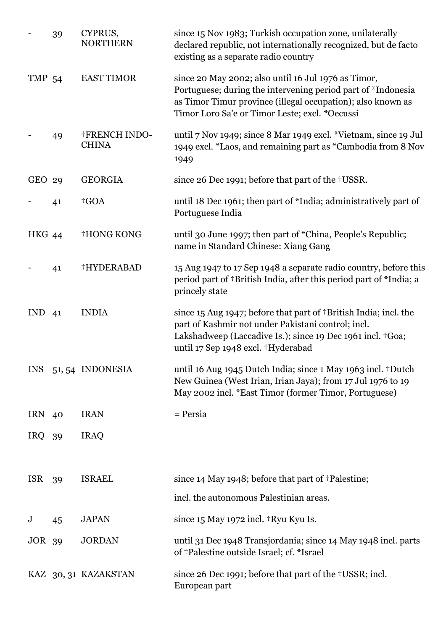|               | 39 | CYPRUS,<br><b>NORTHERN</b>           | since 15 Nov 1983; Turkish occupation zone, unilaterally<br>declared republic, not internationally recognized, but de facto<br>existing as a separate radio country                                                                  |
|---------------|----|--------------------------------------|--------------------------------------------------------------------------------------------------------------------------------------------------------------------------------------------------------------------------------------|
| <b>TMP 54</b> |    | <b>EAST TIMOR</b>                    | since 20 May 2002; also until 16 Jul 1976 as Timor,<br>Portuguese; during the intervening period part of *Indonesia<br>as Timor Timur province (illegal occupation); also known as<br>Timor Loro Sa'e or Timor Leste; excl. *Oecussi |
|               | 49 | <b>†FRENCH INDO-</b><br><b>CHINA</b> | until 7 Nov 1949; since 8 Mar 1949 excl. *Vietnam, since 19 Jul<br>1949 excl. *Laos, and remaining part as *Cambodia from 8 Nov<br>1949                                                                                              |
| GEO 29        |    | <b>GEORGIA</b>                       | since 26 Dec 1991; before that part of the †USSR.                                                                                                                                                                                    |
|               | 41 | <sup>†</sup> GOA                     | until 18 Dec 1961; then part of *India; administratively part of<br>Portuguese India                                                                                                                                                 |
| <b>HKG 44</b> |    | <b>†HONG KONG</b>                    | until 30 June 1997; then part of *China, People's Republic;<br>name in Standard Chinese: Xiang Gang                                                                                                                                  |
|               | 41 | †HYDERABAD                           | 15 Aug 1947 to 17 Sep 1948 a separate radio country, before this<br>period part of †British India, after this period part of *India; a<br>princely state                                                                             |
| <b>IND</b>    | 41 | <b>INDIA</b>                         | since $15$ Aug 1947; before that part of †British India; incl. the<br>part of Kashmir not under Pakistani control; incl.<br>Lakshadweep (Laccadive Is.); since 19 Dec 1961 incl. +Goa;<br>until 17 Sep 1948 excl. †Hyderabad         |
| <b>INS</b>    |    | 51, 54 INDONESIA                     | until 16 Aug 1945 Dutch India; since 1 May 1963 incl. †Dutch<br>New Guinea (West Irian, Irian Jaya); from 17 Jul 1976 to 19<br>May 2002 incl. *East Timor (former Timor, Portuguese)                                                 |
| IRN 40        |    | <b>IRAN</b>                          | $=$ Persia                                                                                                                                                                                                                           |
| IRQ 39        |    | <b>IRAQ</b>                          |                                                                                                                                                                                                                                      |
| <b>ISR</b>    | 39 | <b>ISRAEL</b>                        | since 14 May 1948; before that part of †Palestine;                                                                                                                                                                                   |
|               |    |                                      | incl. the autonomous Palestinian areas.                                                                                                                                                                                              |
| $\bf J$       | 45 | <b>JAPAN</b>                         | since $15$ May 1972 incl. $\dagger$ Ryu Kyu Is.                                                                                                                                                                                      |
| <b>JOR 39</b> |    | <b>JORDAN</b>                        | until 31 Dec 1948 Transjordania; since 14 May 1948 incl. parts<br>of †Palestine outside Israel; cf. *Israel                                                                                                                          |
|               |    | KAZ 30, 31 KAZAKSTAN                 | since 26 Dec 1991; before that part of the †USSR; incl.<br>European part                                                                                                                                                             |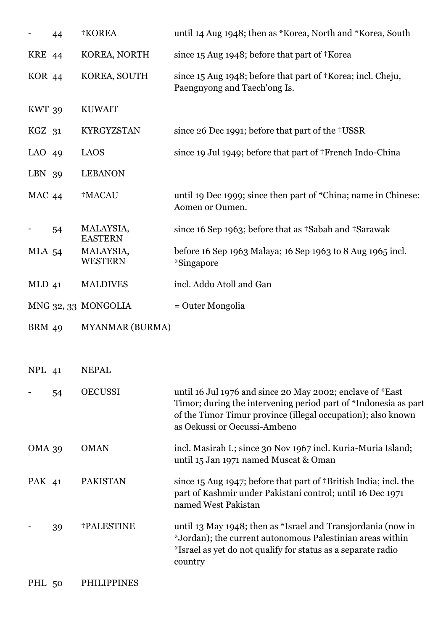|                   | 44 | †KOREA                      | until 14 Aug 1948; then as *Korea, North and *Korea, South                                                                                                                                                                   |
|-------------------|----|-----------------------------|------------------------------------------------------------------------------------------------------------------------------------------------------------------------------------------------------------------------------|
| <b>KRE</b> 44     |    | KOREA, NORTH                | since 15 Aug 1948; before that part of †Korea                                                                                                                                                                                |
| <b>KOR 44</b>     |    | KOREA, SOUTH                | since 15 Aug 1948; before that part of †Korea; incl. Cheju,<br>Paengnyong and Taech'ong Is.                                                                                                                                  |
| <b>KWT 39</b>     |    | <b>KUWAIT</b>               |                                                                                                                                                                                                                              |
| KGZ <sub>31</sub> |    | <b>KYRGYZSTAN</b>           | since 26 Dec 1991; before that part of the †USSR                                                                                                                                                                             |
| LAO $49$          |    | LAOS                        | since 19 Jul 1949; before that part of †French Indo-China                                                                                                                                                                    |
| LBN 39            |    | <b>LEBANON</b>              |                                                                                                                                                                                                                              |
| MAC 44            |    | <sup>†</sup> MACAU          | until 19 Dec 1999; since then part of *China; name in Chinese:<br>Aomen or Oumen.                                                                                                                                            |
|                   | 54 | MALAYSIA,<br><b>EASTERN</b> | since 16 Sep 1963; before that as †Sabah and †Sarawak                                                                                                                                                                        |
| <b>MLA 54</b>     |    | MALAYSIA,<br><b>WESTERN</b> | before 16 Sep 1963 Malaya; 16 Sep 1963 to 8 Aug 1965 incl.<br><i>*Singapore</i>                                                                                                                                              |
| $MLD$ 41          |    | <b>MALDIVES</b>             | incl. Addu Atoll and Gan                                                                                                                                                                                                     |
|                   |    | MNG 32, 33 MONGOLIA         | = Outer Mongolia                                                                                                                                                                                                             |
| <b>BRM</b> 49     |    | <b>MYANMAR (BURMA)</b>      |                                                                                                                                                                                                                              |
|                   |    |                             |                                                                                                                                                                                                                              |
| NPL 41            |    | <b>NEPAL</b>                |                                                                                                                                                                                                                              |
|                   | 54 | <b>OECUSSI</b>              | until 16 Jul 1976 and since 20 May 2002; enclave of *East<br>Timor; during the intervening period part of *Indonesia as part<br>of the Timor Timur province (illegal occupation); also known<br>as Oekussi or Oecussi-Ambeno |
| <b>OMA 39</b>     |    | <b>OMAN</b>                 | incl. Masirah I.; since 30 Nov 1967 incl. Kuria-Muria Island;<br>until 15 Jan 1971 named Muscat & Oman                                                                                                                       |
| PAK 41            |    | <b>PAKISTAN</b>             | since $15$ Aug 1947; before that part of $\dagger$ British India; incl. the<br>part of Kashmir under Pakistani control; until 16 Dec 1971<br>named West Pakistan                                                             |
|                   | 39 | <b>†PALESTINE</b>           | until 13 May 1948; then as *Israel and Transjordania (now in<br>*Jordan); the current autonomous Palestinian areas within<br>*Israel as yet do not qualify for status as a separate radio<br>country                         |
| PHL 50            |    | <b>PHILIPPINES</b>          |                                                                                                                                                                                                                              |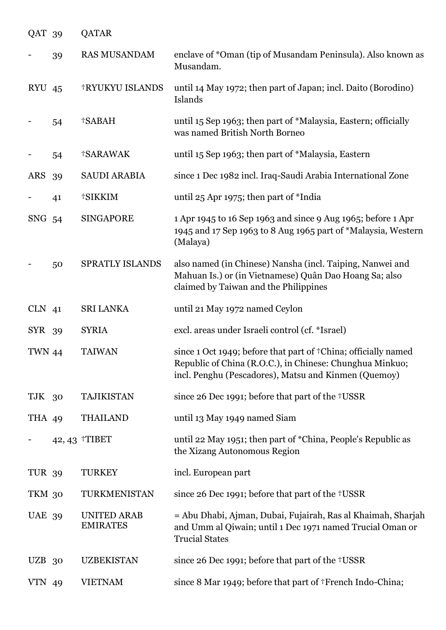| QAT 39        |    | <b>QATAR</b>                          |                                                                                                                                                                                    |
|---------------|----|---------------------------------------|------------------------------------------------------------------------------------------------------------------------------------------------------------------------------------|
|               | 39 | <b>RAS MUSANDAM</b>                   | enclave of *Oman (tip of Musandam Peninsula). Also known as<br>Musandam.                                                                                                           |
| <b>RYU 45</b> |    | <b>†RYUKYU ISLANDS</b>                | until 14 May 1972; then part of Japan; incl. Daito (Borodino)<br>Islands                                                                                                           |
|               | 54 | †SABAH                                | until 15 Sep 1963; then part of *Malaysia, Eastern; officially<br>was named British North Borneo                                                                                   |
|               | 54 | <b>†SARAWAK</b>                       | until 15 Sep 1963; then part of *Malaysia, Eastern                                                                                                                                 |
| <b>ARS</b>    | 39 | <b>SAUDI ARABIA</b>                   | since 1 Dec 1982 incl. Iraq-Saudi Arabia International Zone                                                                                                                        |
|               | 41 | †SIKKIM                               | until 25 Apr 1975; then part of *India                                                                                                                                             |
| SNG           | 54 | <b>SINGAPORE</b>                      | 1 Apr 1945 to 16 Sep 1963 and since 9 Aug 1965; before 1 Apr<br>1945 and 17 Sep 1963 to 8 Aug 1965 part of *Malaysia, Western<br>(Malaya)                                          |
|               | 50 | SPRATLY ISLANDS                       | also named (in Chinese) Nansha (incl. Taiping, Nanwei and<br>Mahuan Is.) or (in Vietnamese) Quân Dao Hoang Sa; also<br>claimed by Taiwan and the Philippines                       |
| $CLN$ 41      |    | <b>SRI LANKA</b>                      | until 21 May 1972 named Ceylon                                                                                                                                                     |
| SYR 39        |    | <b>SYRIA</b>                          | excl. areas under Israeli control (cf. *Israel)                                                                                                                                    |
| <b>TWN 44</b> |    | <b>TAIWAN</b>                         | since 1 Oct 1949; before that part of †China; officially named<br>Republic of China (R.O.C.), in Chinese: Chunghua Minkuo;<br>incl. Penghu (Pescadores), Matsu and Kinmen (Quemoy) |
| TJK 30        |    | <b>TAJIKISTAN</b>                     | since 26 Dec 1991; before that part of the †USSR                                                                                                                                   |
| THA 49        |    | <b>THAILAND</b>                       | until 13 May 1949 named Siam                                                                                                                                                       |
|               |    | 42, 43 TIBET                          | until 22 May 1951; then part of *China, People's Republic as<br>the Xizang Autonomous Region                                                                                       |
| TUR 39        |    | <b>TURKEY</b>                         | incl. European part                                                                                                                                                                |
| TKM 30        |    | TURKMENISTAN                          | since 26 Dec 1991; before that part of the †USSR                                                                                                                                   |
| <b>UAE 39</b> |    | <b>UNITED ARAB</b><br><b>EMIRATES</b> | = Abu Dhabi, Ajman, Dubai, Fujairah, Ras al Khaimah, Sharjah<br>and Umm al Qiwain; until 1 Dec 1971 named Trucial Oman or<br><b>Trucial States</b>                                 |
| UZB 30        |    | <b>UZBEKISTAN</b>                     | since 26 Dec 1991; before that part of the †USSR                                                                                                                                   |
| <b>VTN 49</b> |    | <b>VIETNAM</b>                        | since 8 Mar 1949; before that part of †French Indo-China;                                                                                                                          |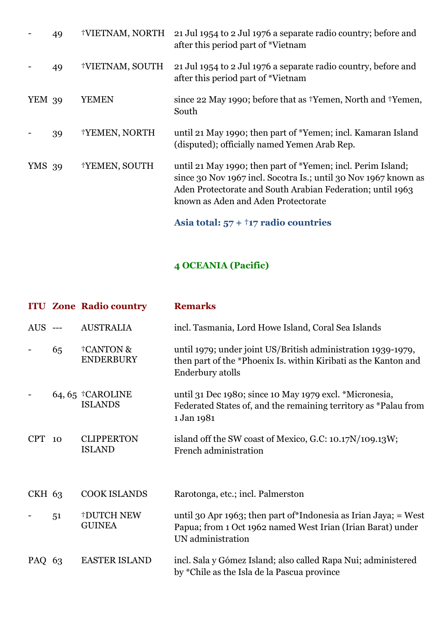|               | 49 | †VIETNAM, NORTH | 21 Jul 1954 to 2 Jul 1976 a separate radio country; before and<br>after this period part of *Vietnam                                                                                                                                |
|---------------|----|-----------------|-------------------------------------------------------------------------------------------------------------------------------------------------------------------------------------------------------------------------------------|
|               | 49 | †VIETNAM, SOUTH | 21 Jul 1954 to 2 Jul 1976 a separate radio country, before and<br>after this period part of *Vietnam                                                                                                                                |
| <b>YEM 39</b> |    | YEMEN           | since 22 May 1990; before that as <sup>†</sup> Yemen, North and †Yemen,<br>South                                                                                                                                                    |
|               | 39 | †YEMEN, NORTH   | until 21 May 1990; then part of *Yemen; incl. Kamaran Island<br>(disputed); officially named Yemen Arab Rep.                                                                                                                        |
| <b>YMS</b> 39 |    | †YEMEN, SOUTH   | until 21 May 1990; then part of *Yemen; incl. Perim Island;<br>since 30 Nov 1967 incl. Socotra Is.; until 30 Nov 1967 known as<br>Aden Protectorate and South Arabian Federation; until 1963<br>known as Aden and Aden Protectorate |
|               |    |                 | Asia total: $57 + 17$ radio countries                                                                                                                                                                                               |

## **4 OCEANIA (Pacific)**

|            |    | <b>ITU Zone Radio country</b>               | <b>Remarks</b>                                                                                                                                       |
|------------|----|---------------------------------------------|------------------------------------------------------------------------------------------------------------------------------------------------------|
| $AUS$ ---  |    | <b>AUSTRALIA</b>                            | incl. Tasmania, Lord Howe Island, Coral Sea Islands                                                                                                  |
|            | 65 | <b>†CANTON &amp;</b><br><b>ENDERBURY</b>    | until 1979; under joint US/British administration 1939-1979,<br>then part of the *Phoenix Is. within Kiribati as the Kanton and<br>Enderbury atolls  |
|            |    | 64, 65 $\text{tCAROLINE}$<br><b>ISLANDS</b> | until 31 Dec 1980; since 10 May 1979 excl. *Micronesia,<br>Federated States of, and the remaining territory as *Palau from<br>1 Jan 1981             |
| <b>CPT</b> | 10 | <b>CLIPPERTON</b><br><b>ISLAND</b>          | island off the SW coast of Mexico, G.C: 10.17N/109.13W;<br>French administration                                                                     |
| CKH 63     |    | <b>COOK ISLANDS</b>                         | Rarotonga, etc.; incl. Palmerston                                                                                                                    |
|            | 51 | <b>†DUTCH NEW</b><br><b>GUINEA</b>          | until 30 Apr 1963; then part of *Indonesia as Irian Jaya; = West<br>Papua; from 1 Oct 1962 named West Irian (Irian Barat) under<br>UN administration |
| PAQ 63     |    | <b>EASTER ISLAND</b>                        | incl. Sala y Gómez Island; also called Rapa Nui; administered<br>by *Chile as the Isla de la Pascua province                                         |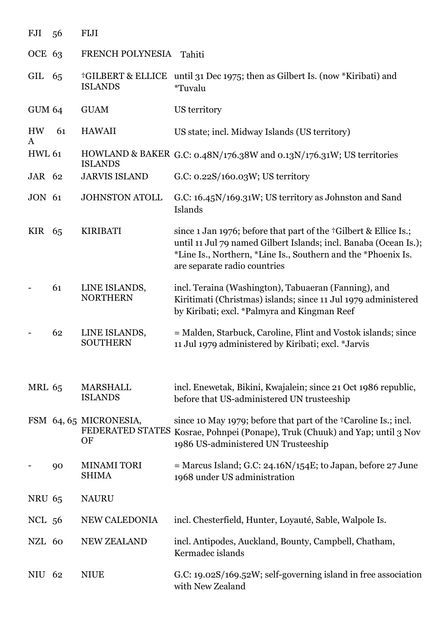| FJI            | 56 | <b>FIJI</b>                                      |                                                                                                                                                                                                                                       |
|----------------|----|--------------------------------------------------|---------------------------------------------------------------------------------------------------------------------------------------------------------------------------------------------------------------------------------------|
| OCE 63         |    | FRENCH POLYNESIA                                 | Tahiti                                                                                                                                                                                                                                |
| GIL            | 65 | <b>†GILBERT &amp; ELLICE</b><br><b>ISLANDS</b>   | until 31 Dec 1975; then as Gilbert Is. (now *Kiribati) and<br><i>*</i> Tuvalu                                                                                                                                                         |
| <b>GUM 64</b>  |    | <b>GUAM</b>                                      | US territory                                                                                                                                                                                                                          |
| <b>HW</b><br>A | 61 | <b>HAWAII</b>                                    | US state; incl. Midway Islands (US territory)                                                                                                                                                                                         |
| <b>HWL 61</b>  |    | <b>ISLANDS</b>                                   | HOWLAND & BAKER G.C: 0.48N/176.38W and 0.13N/176.31W; US territories                                                                                                                                                                  |
| JAR 62         |    | <b>JARVIS ISLAND</b>                             | G.C: $0.22S/160.03W$ ; US territory                                                                                                                                                                                                   |
| <b>JON 61</b>  |    | <b>JOHNSTON ATOLL</b>                            | G.C: 16.45N/169.31W; US territory as Johnston and Sand<br>Islands                                                                                                                                                                     |
| KIR 65         |    | <b>KIRIBATI</b>                                  | since 1 Jan 1976; before that part of the †Gilbert & Ellice Is.;<br>until 11 Jul 79 named Gilbert Islands; incl. Banaba (Ocean Is.);<br>*Line Is., Northern, *Line Is., Southern and the *Phoenix Is.<br>are separate radio countries |
|                | 61 | LINE ISLANDS,<br><b>NORTHERN</b>                 | incl. Teraina (Washington), Tabuaeran (Fanning), and<br>Kiritimati (Christmas) islands; since 11 Jul 1979 administered<br>by Kiribati; excl. *Palmyra and Kingman Reef                                                                |
|                | 62 | LINE ISLANDS,<br><b>SOUTHERN</b>                 | = Malden, Starbuck, Caroline, Flint and Vostok islands; since<br>11 Jul 1979 administered by Kiribati; excl. *Jarvis                                                                                                                  |
| <b>MRL 65</b>  |    | <b>MARSHALL</b><br><b>ISLANDS</b>                | incl. Enewetak, Bikini, Kwajalein; since 21 Oct 1986 republic,<br>before that US-administered UN trusteeship                                                                                                                          |
|                |    | FSM 64, 65 MICRONESIA,<br>FEDERATED STATES<br>OF | since 10 May 1979; before that part of the <sup>+</sup> Caroline Is.; incl.<br>Kosrae, Pohnpei (Ponape), Truk (Chuuk) and Yap; until 3 Nov<br>1986 US-administered UN Trusteeship                                                     |
|                | 90 | <b>MINAMI TORI</b><br><b>SHIMA</b>               | $=$ Marcus Island; G.C: 24.16N/154E; to Japan, before 27 June<br>1968 under US administration                                                                                                                                         |
| <b>NRU 65</b>  |    | <b>NAURU</b>                                     |                                                                                                                                                                                                                                       |
| NCL 56         |    | NEW CALEDONIA                                    | incl. Chesterfield, Hunter, Loyauté, Sable, Walpole Is.                                                                                                                                                                               |
| NZL 60         |    | <b>NEW ZEALAND</b>                               | incl. Antipodes, Auckland, Bounty, Campbell, Chatham,<br>Kermadec islands                                                                                                                                                             |
| NIU            | 62 | <b>NIUE</b>                                      | G.C: 19.02S/169.52W; self-governing island in free association<br>with New Zealand                                                                                                                                                    |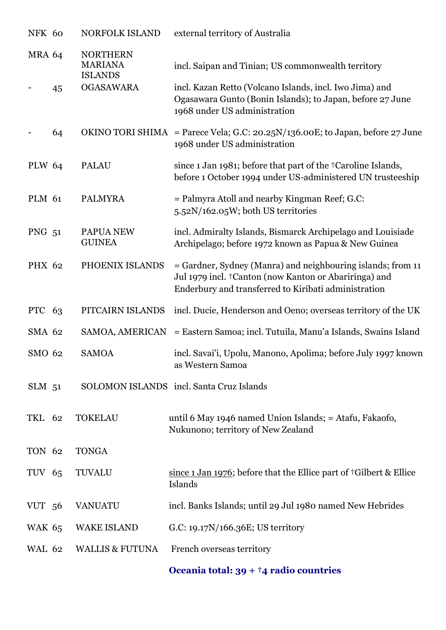| NFK 60        |    | NORFOLK ISLAND                                      | external territory of Australia                                                                                                                                              |
|---------------|----|-----------------------------------------------------|------------------------------------------------------------------------------------------------------------------------------------------------------------------------------|
| <b>MRA 64</b> |    | <b>NORTHERN</b><br><b>MARIANA</b><br><b>ISLANDS</b> | incl. Saipan and Tinian; US commonwealth territory                                                                                                                           |
|               | 45 | <b>OGASAWARA</b>                                    | incl. Kazan Retto (Volcano Islands, incl. Iwo Jima) and<br>Ogasawara Gunto (Bonin Islands); to Japan, before 27 June<br>1968 under US administration                         |
|               | 64 |                                                     | OKINO TORI SHIMA = Parece Vela; G.C: 20.25N/136.00E; to Japan, before 27 June<br>1968 under US administration                                                                |
| <b>PLW 64</b> |    | <b>PALAU</b>                                        | since 1 Jan 1981; before that part of the <sup>+</sup> Caroline Islands,<br>before 1 October 1994 under US-administered UN trusteeship                                       |
| PLM 61        |    | <b>PALMYRA</b>                                      | = Palmyra Atoll and nearby Kingman Reef; G.C:<br>5.52N/162.05W; both US territories                                                                                          |
| PNG 51        |    | PAPUA NEW<br><b>GUINEA</b>                          | incl. Admiralty Islands, Bismarck Archipelago and Louisiade<br>Archipelago; before 1972 known as Papua & New Guinea                                                          |
| <b>PHX 62</b> |    | PHOENIX ISLANDS                                     | = Gardner, Sydney (Manra) and neighbouring islands; from 11<br>Jul 1979 incl. †Canton (now Kanton or Abariringa) and<br>Enderbury and transferred to Kiribati administration |
| PTC 63        |    | PITCAIRN ISLANDS                                    | incl. Ducie, Henderson and Oeno; overseas territory of the UK                                                                                                                |
| <b>SMA 62</b> |    | SAMOA, AMERICAN                                     | = Eastern Samoa; incl. Tutuila, Manu'a Islands, Swains Island                                                                                                                |
| SMO 62        |    | <b>SAMOA</b>                                        | incl. Savai'i, Upolu, Manono, Apolima; before July 1997 known<br>as Western Samoa                                                                                            |
| $SLM$ 51      |    |                                                     | SOLOMON ISLANDS incl. Santa Cruz Islands                                                                                                                                     |
| TKL 62        |    | <b>TOKELAU</b>                                      | until 6 May 1946 named Union Islands; = Atafu, Fakaofo,<br>Nukunono; territory of New Zealand                                                                                |
| TON 62        |    | <b>TONGA</b>                                        |                                                                                                                                                                              |
| TUV 65        |    | <b>TUVALU</b>                                       | since $1$ Jan 1976; before that the Ellice part of $\dagger$ Gilbert & Ellice<br>Islands                                                                                     |
| VUT 56        |    | <b>VANUATU</b>                                      | incl. Banks Islands; until 29 Jul 1980 named New Hebrides                                                                                                                    |
| <b>WAK 65</b> |    | <b>WAKE ISLAND</b>                                  | G.C: 19.17N/166.36E; US territory                                                                                                                                            |
| <b>WAL 62</b> |    | <b>WALLIS &amp; FUTUNA</b>                          | French overseas territory                                                                                                                                                    |

**Oceania total: 39 + †4 radio countries**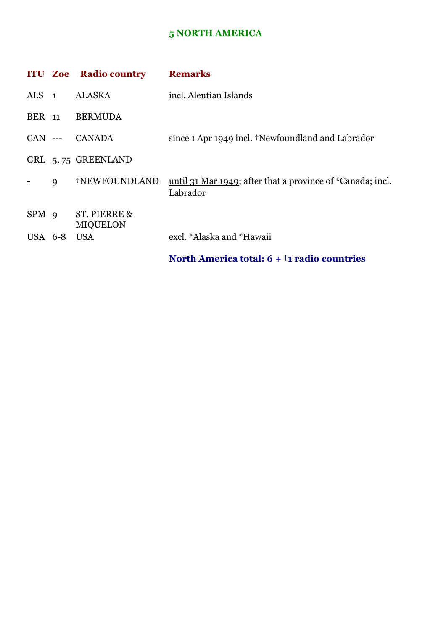## **5 NORTH AMERICA**

|                  |             | <b>ITU Zoe Radio country</b>    | <b>Remarks</b>                                                         |
|------------------|-------------|---------------------------------|------------------------------------------------------------------------|
| ALS 1            |             | ALASKA                          | incl. Aleutian Islands                                                 |
| <b>BER</b> 11    |             | <b>BERMUDA</b>                  |                                                                        |
|                  |             | CAN --- CANADA                  | since 1 Apr 1949 incl. †Newfoundland and Labrador                      |
|                  |             | GRL 5,75 GREENLAND              |                                                                        |
|                  | $\mathbf Q$ | †NEWFOUNDLAND                   | until 31 Mar 1949; after that a province of *Canada; incl.<br>Labrador |
| SPM <sub>9</sub> |             | ST. PIERRE &<br><b>MIQUELON</b> |                                                                        |
| USA 6-8          |             | <b>USA</b>                      | excl. *Alaska and *Hawaii                                              |
|                  |             |                                 | North America total: $6 + \dagger$ 1 radio countries                   |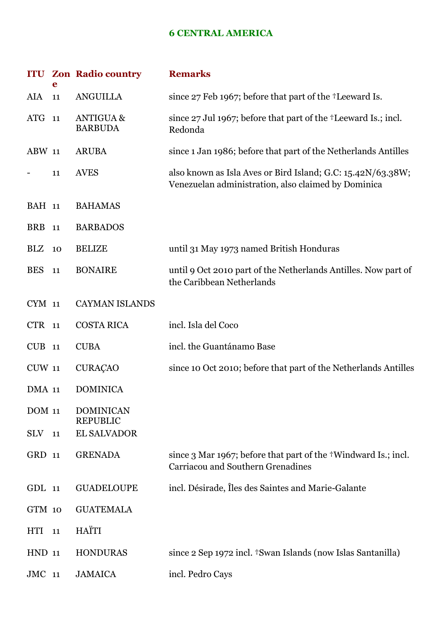#### **6 CENTRAL AMERICA**

|               | e  | <b>ITU Zon Radio country</b>           | <b>Remarks</b>                                                                                                     |
|---------------|----|----------------------------------------|--------------------------------------------------------------------------------------------------------------------|
| AIA           | 11 | <b>ANGUILLA</b>                        | since 27 Feb 1967; before that part of the <sup>†</sup> Leeward Is.                                                |
| ATG 11        |    | <b>ANTIGUA &amp;</b><br><b>BARBUDA</b> | since 27 Jul 1967; before that part of the <sup>+</sup> Leeward Is.; incl.<br>Redonda                              |
| <b>ABW 11</b> |    | <b>ARUBA</b>                           | since 1 Jan 1986; before that part of the Netherlands Antilles                                                     |
|               | 11 | <b>AVES</b>                            | also known as Isla Aves or Bird Island; G.C: 15.42N/63.38W;<br>Venezuelan administration, also claimed by Dominica |
| <b>BAH</b> 11 |    | <b>BAHAMAS</b>                         |                                                                                                                    |
| <b>BRB</b>    | 11 | <b>BARBADOS</b>                        |                                                                                                                    |
| BLZ           | 10 | <b>BELIZE</b>                          | until 31 May 1973 named British Honduras                                                                           |
| <b>BES</b>    | 11 | <b>BONAIRE</b>                         | until 9 Oct 2010 part of the Netherlands Antilles. Now part of<br>the Caribbean Netherlands                        |
| CYM 11        |    | <b>CAYMAN ISLANDS</b>                  |                                                                                                                    |
| CTR 11        |    | <b>COSTA RICA</b>                      | incl. Isla del Coco                                                                                                |
| $CUB$ 11      |    | <b>CUBA</b>                            | incl. the Guantánamo Base                                                                                          |
| <b>CUW 11</b> |    | <b>CURAÇÃO</b>                         | since 10 Oct 2010; before that part of the Netherlands Antilles                                                    |
| DMA 11        |    | <b>DOMINICA</b>                        |                                                                                                                    |
| <b>DOM 11</b> |    | <b>DOMINICAN</b><br><b>REPUBLIC</b>    |                                                                                                                    |
| <b>SLV</b>    | 11 | <b>EL SALVADOR</b>                     |                                                                                                                    |
| GRD 11        |    | <b>GRENADA</b>                         | since 3 Mar 1967; before that part of the †Windward Is.; incl.<br>Carriacou and Southern Grenadines                |
| GDL 11        |    | <b>GUADELOUPE</b>                      | incl. Désirade, Îles des Saintes and Marie-Galante                                                                 |
| GTM 10        |    | <b>GUATEMALA</b>                       |                                                                                                                    |
| <b>HTI</b>    | 11 | HAÏTI                                  |                                                                                                                    |
| <b>HND 11</b> |    | <b>HONDURAS</b>                        | since 2 Sep 1972 incl. <sup>†</sup> Swan Islands (now Islas Santanilla)                                            |
| $JMC$ 11      |    | <b>JAMAICA</b>                         | incl. Pedro Cays                                                                                                   |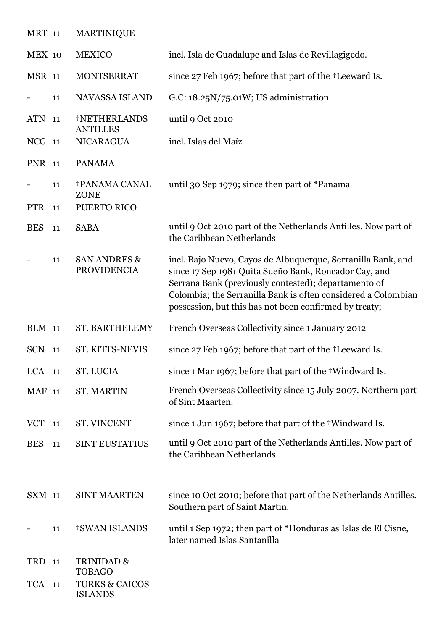| <b>MRT</b> 11 |    | <b>MARTINIQUE</b>                                         |                                                                                                                                                                                                                                                                                                          |
|---------------|----|-----------------------------------------------------------|----------------------------------------------------------------------------------------------------------------------------------------------------------------------------------------------------------------------------------------------------------------------------------------------------------|
| MEX 10        |    | <b>MEXICO</b>                                             | incl. Isla de Guadalupe and Islas de Revillagigedo.                                                                                                                                                                                                                                                      |
| <b>MSR 11</b> |    | <b>MONTSERRAT</b>                                         | since 27 Feb 1967; before that part of the <sup>†</sup> Leeward Is.                                                                                                                                                                                                                                      |
|               | 11 | NAVASSA ISLAND                                            | G.C: $18.25N/75.01W$ ; US administration                                                                                                                                                                                                                                                                 |
| ATN 11        |    | †NETHERLANDS<br><b>ANTILLES</b>                           | until 9 Oct 2010                                                                                                                                                                                                                                                                                         |
| NCG 11        |    | <b>NICARAGUA</b>                                          | incl. Islas del Maíz                                                                                                                                                                                                                                                                                     |
| <b>PNR</b> 11 |    | <b>PANAMA</b>                                             |                                                                                                                                                                                                                                                                                                          |
| PTR 11        | 11 | <b>†PANAMA CANAL</b><br><b>ZONE</b><br><b>PUERTO RICO</b> | until 30 Sep 1979; since then part of *Panama                                                                                                                                                                                                                                                            |
| <b>BES</b>    | 11 | <b>SABA</b>                                               | until 9 Oct 2010 part of the Netherlands Antilles. Now part of<br>the Caribbean Netherlands                                                                                                                                                                                                              |
|               | 11 | <b>SAN ANDRES &amp;</b><br><b>PROVIDENCIA</b>             | incl. Bajo Nuevo, Cayos de Albuquerque, Serranilla Bank, and<br>since 17 Sep 1981 Quita Sueño Bank, Roncador Cay, and<br>Serrana Bank (previously contested); departamento of<br>Colombia; the Serranilla Bank is often considered a Colombian<br>possession, but this has not been confirmed by treaty; |
| <b>BLM</b> 11 |    | <b>ST. BARTHELEMY</b>                                     | French Overseas Collectivity since 1 January 2012                                                                                                                                                                                                                                                        |
| <b>SCN</b>    | 11 | <b>ST. KITTS-NEVIS</b>                                    | since 27 Feb 1967; before that part of the <sup>†</sup> Leeward Is.                                                                                                                                                                                                                                      |
| $LCA$ 11      |    |                                                           |                                                                                                                                                                                                                                                                                                          |
|               |    | <b>ST. LUCIA</b>                                          | since 1 Mar 1967; before that part of the †Windward Is.                                                                                                                                                                                                                                                  |
| <b>MAF</b> 11 |    | <b>ST. MARTIN</b>                                         | French Overseas Collectivity since 15 July 2007. Northern part<br>of Sint Maarten.                                                                                                                                                                                                                       |
| <b>VCT</b>    | 11 | ST. VINCENT                                               | since 1 Jun 1967; before that part of the †Windward Is.                                                                                                                                                                                                                                                  |
| <b>BES</b>    | 11 | <b>SINT EUSTATIUS</b>                                     | until 9 Oct 2010 part of the Netherlands Antilles. Now part of<br>the Caribbean Netherlands                                                                                                                                                                                                              |
| SXM 11        |    | <b>SINT MAARTEN</b>                                       | since 10 Oct 2010; before that part of the Netherlands Antilles.<br>Southern part of Saint Martin.                                                                                                                                                                                                       |
|               | 11 | <b>†SWAN ISLANDS</b>                                      | until 1 Sep 1972; then part of *Honduras as Islas de El Cisne,<br>later named Islas Santanilla                                                                                                                                                                                                           |
| TRD           | 11 | TRINIDAD &<br><b>TOBAGO</b>                               |                                                                                                                                                                                                                                                                                                          |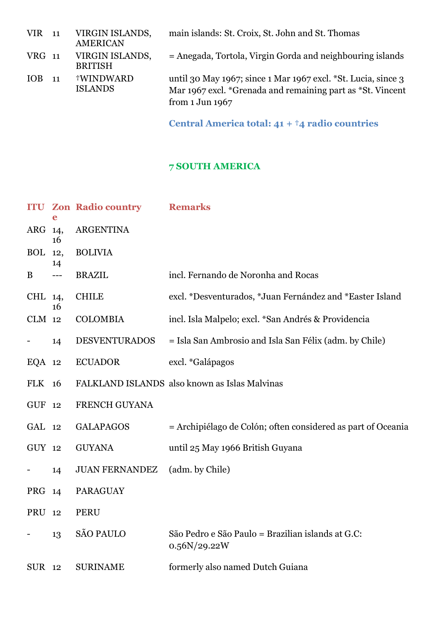| $VIR$ 11   |       | VIRGIN ISLANDS,<br><b>AMERICAN</b> | main islands: St. Croix, St. John and St. Thomas                                                                                                          |
|------------|-------|------------------------------------|-----------------------------------------------------------------------------------------------------------------------------------------------------------|
| VRG 11     |       | VIRGIN ISLANDS,<br><b>BRITISH</b>  | = Anegada, Tortola, Virgin Gorda and neighbouring islands                                                                                                 |
| <b>IOB</b> | $-11$ | †WINDWARD<br><b>ISLANDS</b>        | until 30 May 1967; since 1 Mar 1967 excl. *St. Lucia, since 3<br>Mar 1967 excl. *Grenada and remaining part as *St. Vincent<br>from $1 \text{ Jun } 1967$ |

**Central America total: 41 + †4 radio countries**

## **7 SOUTH AMERICA**

|          |           | <b>ITU Zon Radio country</b> | <b>Remarks</b>                                                    |
|----------|-----------|------------------------------|-------------------------------------------------------------------|
| ARG 14,  | 16        | <b>ARGENTINA</b>             |                                                                   |
| BOL      | 12,<br>14 | <b>BOLIVIA</b>               |                                                                   |
| B        | ---       | <b>BRAZIL</b>                | incl. Fernando de Noronha and Rocas                               |
| CHL 14,  | 16        | <b>CHILE</b>                 | excl. *Desventurados, *Juan Fernández and *Easter Island          |
| $CLM$ 12 |           | <b>COLOMBIA</b>              | incl. Isla Malpelo; excl. *San Andrés & Providencia               |
|          | 14        | <b>DESVENTURADOS</b>         | = Isla San Ambrosio and Isla San Félix (adm. by Chile)            |
| $EQA$ 12 |           | <b>ECUADOR</b>               | excl. *Galápagos                                                  |
| FLK 16   |           |                              | FALKLAND ISLANDS also known as Islas Malvinas                     |
| GUF 12   |           | FRENCH GUYANA                |                                                                   |
| GAL 12   |           | <b>GALAPAGOS</b>             | = Archipiélago de Colón; often considered as part of Oceania      |
| GUY 12   |           | <b>GUYANA</b>                | until 25 May 1966 British Guyana                                  |
|          | 14        | <b>JUAN FERNANDEZ</b>        | (adm. by Chile)                                                   |
| PRG 14   |           | <b>PARAGUAY</b>              |                                                                   |
| PRU 12   |           | <b>PERU</b>                  |                                                                   |
|          | 13        | <b>SÃO PAULO</b>             | São Pedro e São Paulo = Brazilian islands at G.C:<br>0.56N/29.22W |
| SUR 12   |           | <b>SURINAME</b>              | formerly also named Dutch Guiana                                  |